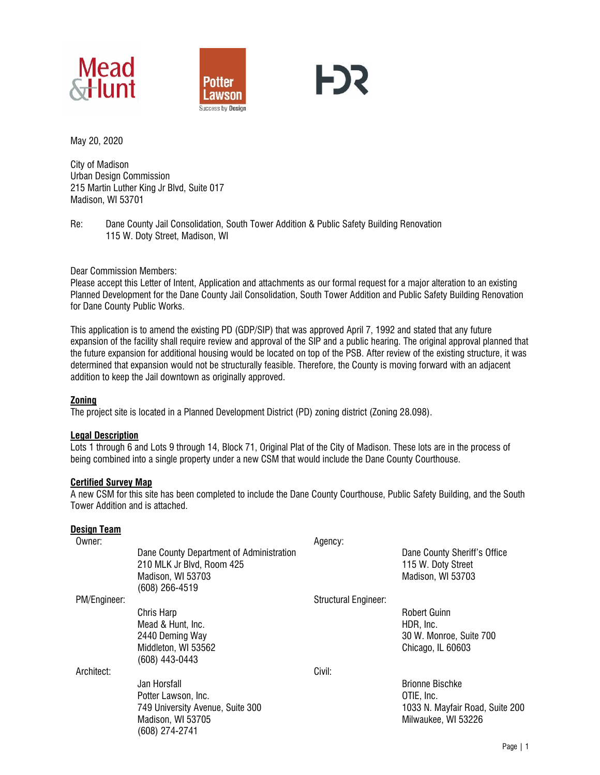





May 20, 2020

City of Madison Urban Design Commission 215 Martin Luther King Jr Blvd, Suite 017 Madison, WI 53701

Re: Dane County Jail Consolidation, South Tower Addition & Public Safety Building Renovation 115 W. Doty Street, Madison, WI

Dear Commission Members:

Please accept this Letter of Intent, Application and attachments as our formal request for a major alteration to an existing Planned Development for the Dane County Jail Consolidation, South Tower Addition and Public Safety Building Renovation for Dane County Public Works.

This application is to amend the existing PD (GDP/SIP) that was approved April 7, 1992 and stated that any future expansion of the facility shall require review and approval of the SIP and a public hearing. The original approval planned that the future expansion for additional housing would be located on top of the PSB. After review of the existing structure, it was determined that expansion would not be structurally feasible. Therefore, the County is moving forward with an adjacent addition to keep the Jail downtown as originally approved.

## **Zoning**

The project site is located in a Planned Development District (PD) zoning district (Zoning 28.098).

## **Legal Description**

Lots 1 through 6 and Lots 9 through 14, Block 71, Original Plat of the City of Madison. These lots are in the process of being combined into a single property under a new CSM that would include the Dane County Courthouse.

## **Certified Survey Map**

A new CSM for this site has been completed to include the Dane County Courthouse, Public Safety Building, and the South Tower Addition and is attached.

## **Design Team**

| Owner:       |                                          | Agency:                     |                                 |
|--------------|------------------------------------------|-----------------------------|---------------------------------|
|              | Dane County Department of Administration |                             | Dane County Sheriff's Office    |
|              | 210 MLK Jr Blvd, Room 425                |                             | 115 W. Doty Street              |
|              | Madison, WI 53703                        |                             | Madison, WI 53703               |
|              | (608) 266-4519                           |                             |                                 |
| PM/Engineer: |                                          | <b>Structural Engineer:</b> |                                 |
|              | Chris Harp                               |                             | <b>Robert Guinn</b>             |
|              | Mead & Hunt, Inc.                        |                             | HDR, Inc.                       |
|              | 2440 Deming Way                          |                             | 30 W. Monroe, Suite 700         |
|              | Middleton, WI 53562                      |                             | Chicago, IL 60603               |
|              | (608) 443-0443                           |                             |                                 |
| Architect:   |                                          | Civil:                      |                                 |
|              | Jan Horsfall                             |                             | <b>Brionne Bischke</b>          |
|              | Potter Lawson, Inc.                      |                             | OTIE, Inc.                      |
|              | 749 University Avenue, Suite 300         |                             | 1033 N. Mayfair Road, Suite 200 |
|              | Madison, WI 53705                        |                             | Milwaukee, WI 53226             |
|              | (608) 274-2741                           |                             |                                 |
|              |                                          |                             |                                 |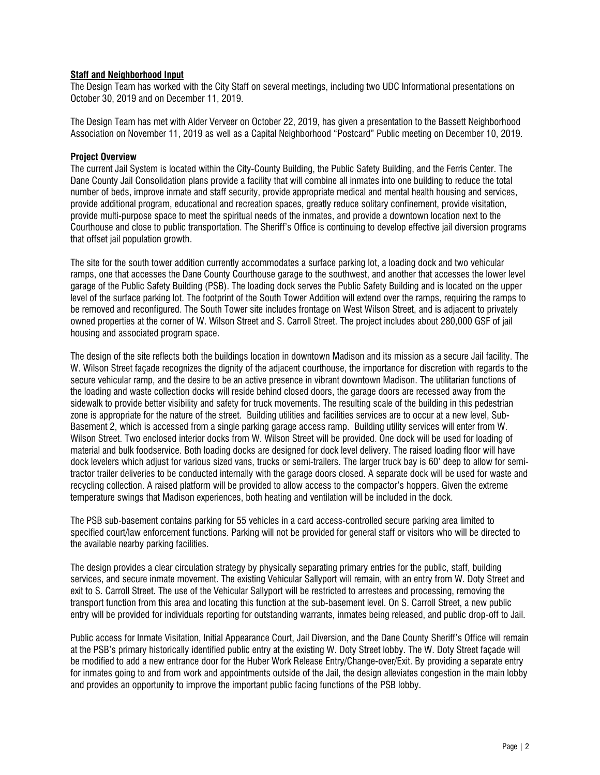## **Staff and Neighborhood Input**

The Design Team has worked with the City Staff on several meetings, including two UDC Informational presentations on October 30, 2019 and on December 11, 2019.

The Design Team has met with Alder Verveer on October 22, 2019, has given a presentation to the Bassett Neighborhood Association on November 11, 2019 as well as a Capital Neighborhood "Postcard" Public meeting on December 10, 2019.

## **Project Overview**

The current Jail System is located within the City-County Building, the Public Safety Building, and the Ferris Center. The Dane County Jail Consolidation plans provide a facility that will combine all inmates into one building to reduce the total number of beds, improve inmate and staff security, provide appropriate medical and mental health housing and services, provide additional program, educational and recreation spaces, greatly reduce solitary confinement, provide visitation, provide multi-purpose space to meet the spiritual needs of the inmates, and provide a downtown location next to the Courthouse and close to public transportation. The Sheriff's Office is continuing to develop effective jail diversion programs that offset jail population growth.

The site for the south tower addition currently accommodates a surface parking lot, a loading dock and two vehicular ramps, one that accesses the Dane County Courthouse garage to the southwest, and another that accesses the lower level garage of the Public Safety Building (PSB). The loading dock serves the Public Safety Building and is located on the upper level of the surface parking lot. The footprint of the South Tower Addition will extend over the ramps, requiring the ramps to be removed and reconfigured. The South Tower site includes frontage on West Wilson Street, and is adjacent to privately owned properties at the corner of W. Wilson Street and S. Carroll Street. The project includes about 280,000 GSF of jail housing and associated program space.

The design of the site reflects both the buildings location in downtown Madison and its mission as a secure Jail facility. The W. Wilson Street façade recognizes the dignity of the adjacent courthouse, the importance for discretion with regards to the secure vehicular ramp, and the desire to be an active presence in vibrant downtown Madison. The utilitarian functions of the loading and waste collection docks will reside behind closed doors, the garage doors are recessed away from the sidewalk to provide better visibility and safety for truck movements. The resulting scale of the building in this pedestrian zone is appropriate for the nature of the street. Building utilities and facilities services are to occur at a new level, Sub-Basement 2, which is accessed from a single parking garage access ramp. Building utility services will enter from W. Wilson Street. Two enclosed interior docks from W. Wilson Street will be provided. One dock will be used for loading of material and bulk foodservice. Both loading docks are designed for dock level delivery. The raised loading floor will have dock levelers which adjust for various sized vans, trucks or semi-trailers. The larger truck bay is 60' deep to allow for semitractor trailer deliveries to be conducted internally with the garage doors closed. A separate dock will be used for waste and recycling collection. A raised platform will be provided to allow access to the compactor's hoppers. Given the extreme temperature swings that Madison experiences, both heating and ventilation will be included in the dock.

The PSB sub-basement contains parking for 55 vehicles in a card access-controlled secure parking area limited to specified court/law enforcement functions. Parking will not be provided for general staff or visitors who will be directed to the available nearby parking facilities.

The design provides a clear circulation strategy by physically separating primary entries for the public, staff, building services, and secure inmate movement. The existing Vehicular Sallyport will remain, with an entry from W. Doty Street and exit to S. Carroll Street. The use of the Vehicular Sallyport will be restricted to arrestees and processing, removing the transport function from this area and locating this function at the sub-basement level. On S. Carroll Street, a new public entry will be provided for individuals reporting for outstanding warrants, inmates being released, and public drop-off to Jail.

Public access for Inmate Visitation, Initial Appearance Court, Jail Diversion, and the Dane County Sheriff's Office will remain at the PSB's primary historically identified public entry at the existing W. Doty Street lobby. The W. Doty Street façade will be modified to add a new entrance door for the Huber Work Release Entry/Change-over/Exit. By providing a separate entry for inmates going to and from work and appointments outside of the Jail, the design alleviates congestion in the main lobby and provides an opportunity to improve the important public facing functions of the PSB lobby.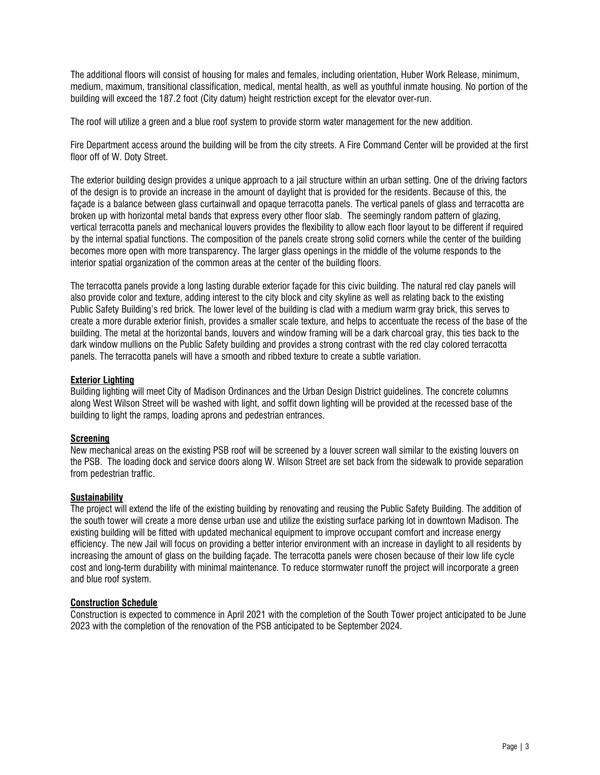The additional floors will consist of housing for males and females, including orientation, Huber Work Release, minimum, medium, maximum, transitional classification, medical, mental health, as well as youthful inmate housing. No portion of the building will exceed the 187.2 foot (City datum) height restriction except for the elevator over-run.

The roof will utilize a green and a blue roof system to provide storm water management for the new addition.

Fire Department access around the building will be from the city streets. A Fire Command Center will be provided at the first floor off of W. Doty Street.

The exterior building design provides a unique approach to a jail structure within an urban setting. One of the driving factors of the design is to provide an increase in the amount of daylight that is provided for the residents. Because of this, the façade is a balance between glass curtainwall and opaque terracotta panels. The vertical panels of glass and terracotta are broken up with horizontal metal bands that express every other floor slab. The seemingly random pattern of glazing, vertical terracotta panels and mechanical louvers provides the flexibility to allow each floor layout to be different if required by the internal spatial functions. The composition of the panels create strong solid corners while the center of the building becomes more open with more transparency. The larger glass openings in the middle of the volume responds to the interior spatial organization of the common areas at the center of the building floors.

The terracotta panels provide a long lasting durable exterior façade for this civic building. The natural red clay panels will also provide color and texture, adding interest to the city block and city skyline as well as relating back to the existing Public Safety Building's red brick. The lower level of the building is clad with a medium warm gray brick, this serves to create a more durable exterior finish, provides a smaller scale texture, and helps to accentuate the recess of the base of the building. The metal at the horizontal bands, louvers and window framing will be a dark charcoal gray, this ties back to the dark window mullions on the Public Safety building and provides a strong contrast with the red clay colored terracotta panels. The terracotta panels will have a smooth and ribbed texture to create a subtle variation.

## **Exterior Lighting**

Building lighting will meet City of Madison Ordinances and the Urban Design District guidelines. The concrete columns along West Wilson Street will be washed with light, and soffit down lighting will be provided at the recessed base of the building to light the ramps, loading aprons and pedestrian entrances.

# **Screening**

New mechanical areas on the existing PSB roof will be screened by a louver screen wall similar to the existing louvers on the PSB. The loading dock and service doors along W. Wilson Street are set back from the sidewalk to provide separation from pedestrian traffic.

## **Sustainability**

The project will extend the life of the existing building by renovating and reusing the Public Safety Building. The addition of the south tower will create a more dense urban use and utilize the existing surface parking lot in downtown Madison. The existing building will be fitted with updated mechanical equipment to improve occupant comfort and increase energy efficiency. The new Jail will focus on providing a better interior environment with an increase in daylight to all residents by increasing the amount of glass on the building façade. The terracotta panels were chosen because of their low life cycle cost and long-term durability with minimal maintenance. To reduce stormwater runoff the project will incorporate a green and blue roof system.

# **Construction Schedule**

Construction is expected to commence in April 2021 with the completion of the South Tower project anticipated to be June 2023 with the completion of the renovation of the PSB anticipated to be September 2024.